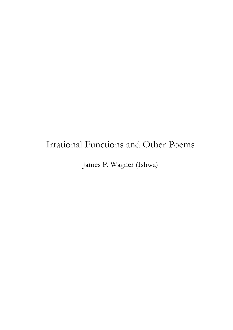# Irrational Functions and Other Poems

James P. Wagner (Ishwa)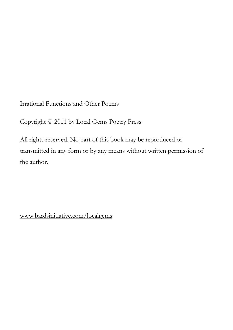Irrational Functions and Other Poems

Copyright © 2011 by Local Gems Poetry Press

All rights reserved. No part of this book may be reproduced or transmitted in any form or by any means without written permission of the author.

www.bardsinitiative.com/localgems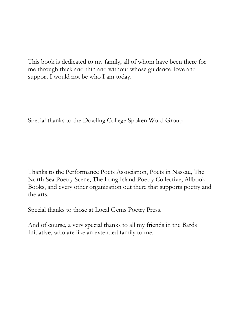This book is dedicated to my family, all of whom have been there for me through thick and thin and without whose guidance, love and support I would not be who I am today.

Special thanks to the Dowling College Spoken Word Group

Thanks to the Performance Poets Association, Poets in Nassau, The North Sea Poetry Scene, The Long Island Poetry Collective, Allbook Books, and every other organization out there that supports poetry and the arts.

Special thanks to those at Local Gems Poetry Press.

And of course, a very special thanks to all my friends in the Bards Initiative, who are like an extended family to me.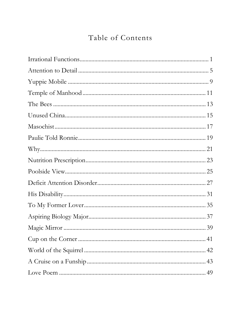## Table of Contents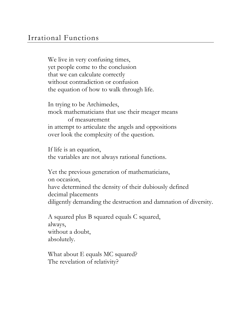### Irrational Functions

We live in very confusing times, yet people come to the conclusion that we can calculate correctly without contradiction or confusion the equation of how to walk through life.

In trying to be Archimedes, mock mathematicians that use their meager means of measurement in attempt to articulate the angels and oppositions over look the complexity of the question.

If life is an equation, the variables are not always rational functions.

Yet the previous generation of mathematicians, on occasion, have determined the density of their dubiously defined decimal placements diligently demanding the destruction and damnation of diversity.

A squared plus B squared equals C squared, always, without a doubt, absolutely.

What about E equals MC squared? The revelation of relativity?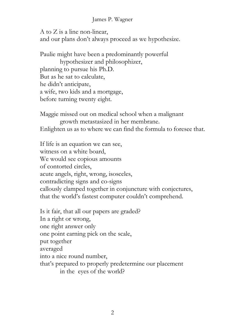#### James P. Wagner

A to Z is a line non-linear, and our plans don't always proceed as we hypothesize.

Paulie might have been a predominantly powerful hypothesizer and philosophizer, planning to pursue his Ph.D. But as he sat to calculate, he didn't anticipate, a wife, two kids and a mortgage, before turning twenty eight.

Maggie missed out on medical school when a malignant growth metastasized in her membrane. Enlighten us as to where we can find the formula to foresee that.

If life is an equation we can see, witness on a white board, We would see copious amounts of contorted circles, acute angels, right, wrong, isosceles, contradicting signs and co-signs callously clamped together in conjuncture with conjectures, that the world's fastest computer couldn't comprehend.

Is it fair, that all our papers are graded? In a right or wrong, one right answer only one point earning pick on the scale, put together averaged into a nice round number, that's prepared to properly predetermine our placement in the eyes of the world?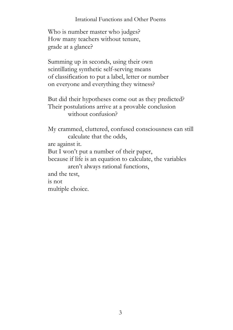#### Irrational Functions and Other Poems

Who is number master who judges? How many teachers without tenure, grade at a glance?

Summing up in seconds, using their own scintillating synthetic self-serving means of classification to put a label, letter or number on everyone and everything they witness?

But did their hypotheses come out as they predicted? Their postulations arrive at a provable conclusion without confusion?

My crammed, cluttered, confused consciousness can still calculate that the odds,

are against it.

But I won't put a number of their paper,

because if life is an equation to calculate, the variables aren't always rational functions,

and the test,

is not

multiple choice.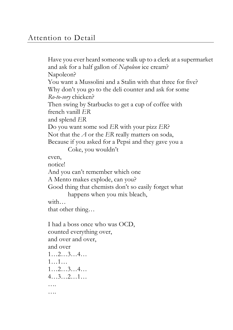Have you ever heard someone walk up to a clerk at a supermarket and ask for a half gallon of *Napoleon* ice cream? Napoleon? You want a Mussolini and a Stalin with that three for five? Why don't you go to the deli counter and ask for some *Ro-to-sory* chicken? Then swing by Starbucks to get a cup of coffee with french vanill *ER* and splend *ER* Do you want some sod *ER* with your pizz *ER*? Not that the *A* or the *ER* really matters on soda, Because if you asked for a Pepsi and they gave you a Coke, you wouldn't even, notice! And you can't remember which one A Mento makes explode, can you? Good thing that chemists don't so easily forget what happens when you mix bleach, with… that other thing… I had a boss once who was OCD, counted everything over, and over and over, and over 1…2…3…4… 1…1… 1…2…3…4… 4…3…2…1… …. ….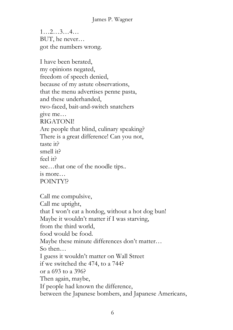1…2…3…4… BUT, he never… got the numbers wrong.

I have been berated, my opinions negated, freedom of speech denied, because of my astute observations, that the menu advertises penne pasta, and these underhanded, two-faced, bait-and-switch snatchers give me… RIGATONI! Are people that blind, culinary speaking? There is a great difference! Can you not, taste it? smell it? feel it? see…that one of the noodle tips.. is more… POINTY!?

Call me compulsive, Call me uptight, that I won't eat a hotdog, without a hot dog bun! Maybe it wouldn't matter if I was starving, from the third world, food would be food. Maybe these minute differences don't matter… So then… I guess it wouldn't matter on Wall Street if we switched the 474, to a 744? or a 693 to a 396? Then again, maybe, If people had known the difference, between the Japanese bombers, and Japanese Americans,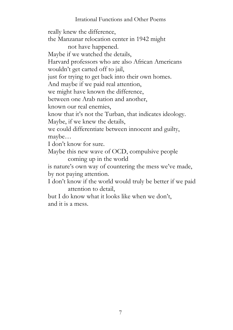#### Irrational Functions and Other Poems

really knew the difference, the Manzanar relocation center in 1942 might not have happened. Maybe if we watched the details, Harvard professors who are also African Americans wouldn't get carted off to jail, just for trying to get back into their own homes. And maybe if we paid real attention, we might have known the difference, between one Arab nation and another, known our real enemies, know that it's not the Turban, that indicates ideology. Maybe, if we knew the details, we could differentiate between innocent and guilty, maybe… I don't know for sure. Maybe this new wave of OCD, compulsive people coming up in the world is nature's own way of countering the mess we've made, by not paying attention. I don't know if the world would truly be better if we paid attention to detail, but I do know what it looks like when we don't, and it is a mess.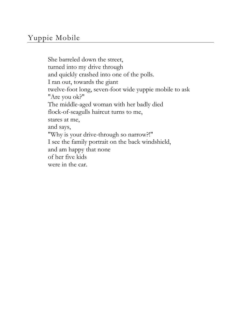### Yuppie Mobile

She barreled down the street, turned into my drive through and quickly crashed into one of the polls. I ran out, towards the giant twelve-foot long, seven-foot wide yuppie mobile to ask "Are you ok?" The middle-aged woman with her badly died flock-of-seagulls haircut turns to me, stares at me, and says, "Why is your drive-through so narrow?!" I see the family portrait on the back windshield, and am happy that none of her five kids were in the car.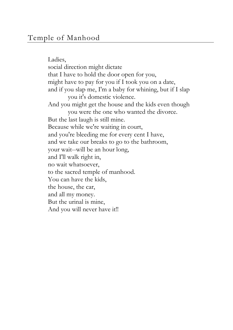Ladies, social direction might dictate that I have to hold the door open for you, might have to pay for you if I took you on a date, and if you slap me, I'm a baby for whining, but if I slap you it's domestic violence. And you might get the house and the kids even though you were the one who wanted the divorce. But the last laugh is still mine. Because while we're waiting in court, and you're bleeding me for every cent I have, and we take our breaks to go to the bathroom, your wait--will be an hour long, and I'll walk right in, no wait whatsoever, to the sacred temple of manhood. You can have the kids, the house, the car, and all my money. But the urinal is mine, And you will never have it!!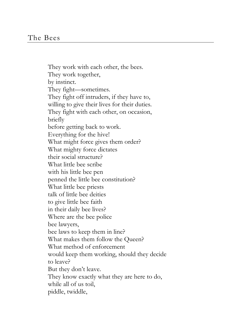They work with each other, the bees. They work together, by instinct. They fight—sometimes. They fight off intruders, if they have to, willing to give their lives for their duties. They fight with each other, on occasion, briefly before getting back to work. Everything for the hive! What might force gives them order? What mighty force dictates their social structure? What little bee scribe with his little bee pen penned the little bee constitution? What little bee priests talk of little bee deities to give little bee faith in their daily bee lives? Where are the bee police bee lawyers, bee laws to keep them in line? What makes them follow the Queen? What method of enforcement would keep them working, should they decide to leave? But they don't leave. They know exactly what they are here to do, while all of us toil, piddle, twiddle,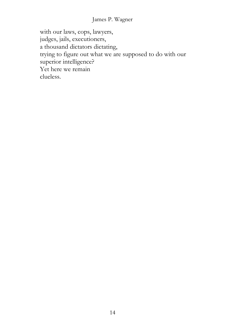#### James P. Wagner

with our laws, cops, lawyers, judges, jails, executioners, a thousand dictators dictating, trying to figure out what we are supposed to do with our superior intelligence? Yet here we remain clueless.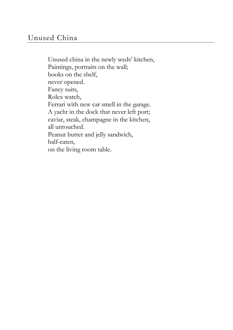Unused china in the newly weds' kitchen, Paintings, portraits on the wall; books on the shelf, never opened. Fancy suits, Rolex watch, Ferrari with new car smell in the garage. A yacht in the dock that never left port; caviar, steak, champagne in the kitchen, all untouched. Peanut butter and jelly sandwich, half-eaten, on the living room table.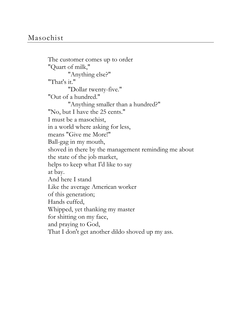The customer comes up to order "Quart of milk," "Anything else?" "That's it." "Dollar twenty-five." "Out of a hundred." "Anything smaller than a hundred?" "No, but I have the 25 cents." I must be a masochist, in a world where asking for less, means "Give me More!" Ball-gag in my mouth, shoved in there by the management reminding me about the state of the job market, helps to keep what I'd like to say at bay. And here I stand Like the average American worker of this generation; Hands cuffed, Whipped, yet thanking my master for shitting on my face, and praying to God, That I don't get another dildo shoved up my ass.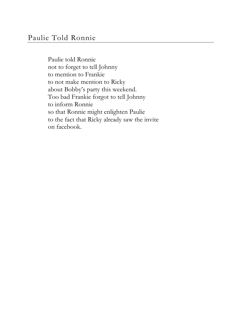Paulie told Ronnie not to forget to tell Johnny to mention to Frankie to not make mention to Ricky about Bobby's party this weekend. Too bad Frankie forgot to tell Johnny to inform Ronnie so that Ronnie might enlighten Paulie to the fact that Ricky already saw the invite on facebook.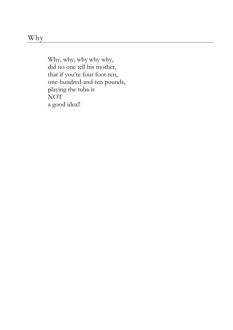Why, why, why why why, did no one tell his mother, that if you're four foot-ten, one-hundred-and-ten pounds, playing the tuba is NOT a good idea!!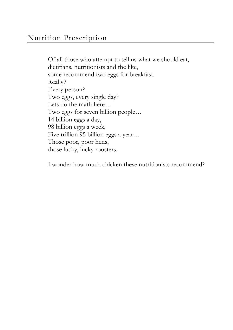Of all those who attempt to tell us what we should eat, dietitians, nutritionists and the like, some recommend two eggs for breakfast. Really? Every person? Two eggs, every single day? Lets do the math here… Two eggs for seven billion people… 14 billion eggs a day, 98 billion eggs a week, Five trillion 95 billion eggs a year… Those poor, poor hens, those lucky, lucky roosters.

I wonder how much chicken these nutritionists recommend?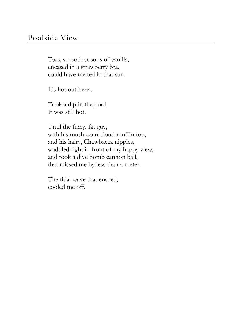### Poolside View

Two, smooth scoops of vanilla, encased in a strawberry bra, could have melted in that sun.

It's hot out here...

Took a dip in the pool, It was still hot.

Until the furry, fat guy, with his mushroom-cloud-muffin top, and his hairy, Chewbacca nipples, waddled right in front of my happy view, and took a dive bomb cannon ball, that missed me by less than a meter.

The tidal wave that ensued, cooled me off.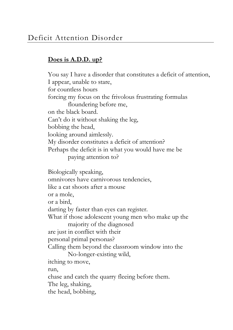#### **Does is A.D.D. up?**

You say I have a disorder that constitutes a deficit of attention, I appear, unable to stare, for countless hours forcing my focus on the frivolous frustrating formulas floundering before me, on the black board. Can't do it without shaking the leg, bobbing the head, looking around aimlessly. My disorder constitutes a deficit of attention? Perhaps the deficit is in what you would have me be paying attention to? Biologically speaking, omnivores have carnivorous tendencies, like a cat shoots after a mouse or a mole, or a bird, darting by faster than eyes can register. What if those adolescent young men who make up the majority of the diagnosed are just in conflict with their personal primal personas? Calling them beyond the classroom window into the No-longer-existing wild, itching to move, run, chase and catch the quarry fleeing before them. The leg, shaking, the head, bobbing,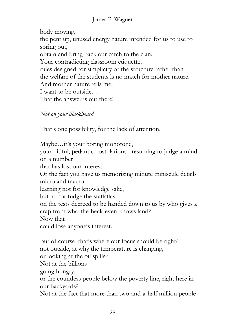body moving, the pent up, unused energy nature intended for us to use to spring out, obtain and bring back our catch to the clan. Your contradicting classroom etiquette, rules designed for simplicity of the structure rather than the welfare of the students is no match for mother nature. And mother nature tells me, I want to be outside… That the answer is out there!

#### *Not on your blackboard.*

That's one possibility, for the lack of attention.

Maybe…it's your boring monotone, your pitiful, pedantic postulations presuming to judge a mind on a number that has lost our interest. Or the fact you have us memorizing minute miniscule details micro and macro learning not for knowledge sake, but to not fudge the statistics on the tests decreed to be handed down to us by who gives a crap from who-the-heck-even-knows land? Now that could lose anyone's interest.

But of course, that's where our focus should be right? not outside, at why the temperature is changing, or looking at the oil spills? Not at the billions going hungry, or the countless people below the poverty line, right here in our backyards? Not at the fact that more than two-and-a-half million people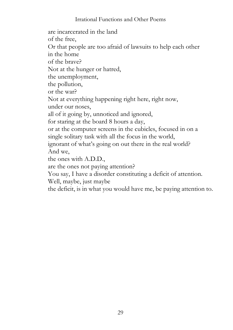#### Irrational Functions and Other Poems

are incarcerated in the land of the free, Or that people are too afraid of lawsuits to help each other in the home of the brave? Not at the hunger or hatred, the unemployment, the pollution, or the war? Not at everything happening right here, right now, under our noses, all of it going by, unnoticed and ignored, for staring at the board 8 hours a day, or at the computer screens in the cubicles, focused in on a single solitary task with all the focus in the world, ignorant of what's going on out there in the real world? And we, the ones with A.D.D., are the ones not paying attention? You say, I have a disorder constituting a deficit of attention. Well, maybe, just maybe the deficit, is in what you would have me, be paying attention to.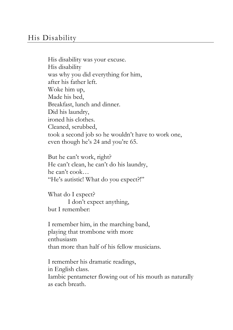His disability was your excuse. His disability was why you did everything for him, after his father left. Woke him up, Made his bed, Breakfast, lunch and dinner. Did his laundry, ironed his clothes. Cleaned, scrubbed, took a second job so he wouldn't have to work one, even though he's 24 and you're 65.

But he can't work, right? He can't clean, he can't do his laundry, he can't cook… "He's autistic! What do you expect?!"

What do I expect? I don't expect anything, but I remember:

I remember him, in the marching band, playing that trombone with more enthusiasm than more than half of his fellow musicians.

I remember his dramatic readings, in English class. Iambic pentameter flowing out of his mouth as naturally as each breath.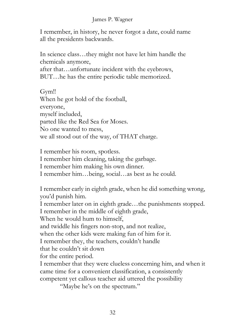#### James P. Wagner

I remember, in history, he never forgot a date, could name all the presidents backwards.

In science class…they might not have let him handle the chemicals anymore, after that…unfortunate incident with the eyebrows, BUT…he has the entire periodic table memorized.

Gym!! When he got hold of the football, everyone, myself included, parted like the Red Sea for Moses. No one wanted to mess, we all stood out of the way, of THAT charge.

I remember his room, spotless. I remember him cleaning, taking the garbage. I remember him making his own dinner. I remember him…being, social…as best as he could.

I remember early in eighth grade, when he did something wrong, you'd punish him.

I remember later on in eighth grade…the punishments stopped. I remember in the middle of eighth grade,

When he would hum to himself.

and twiddle his fingers non-stop, and not realize,

when the other kids were making fun of him for it.

I remember they, the teachers, couldn't handle

that he couldn't sit down

for the entire period.

I remember that they were clueless concerning him, and when it came time for a convenient classification, a consistently competent yet callous teacher aid uttered the possibility

"Maybe he's on the spectrum."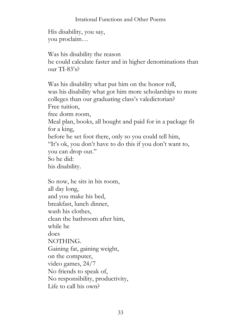#### Irrational Functions and Other Poems

His disability, you say, you proclaim…

Was his disability the reason he could calculate faster and in higher denominations than  $_{OUI}$ r TI-83's?

Was his disability what put him on the honor roll, was his disability what got him more scholarships to more colleges than our graduating class's valedictorian? Free tuition, free dorm room, Meal plan, books, all bought and paid for in a package fit for a king, before he set foot there, only so you could tell him, "It's ok, you don't have to do this if you don't want to, you can drop out." So he did: his disability.

So now, he sits in his room, all day long, and you make his bed, breakfast, lunch dinner, wash his clothes, clean the bathroom after him, while he does NOTHING. Gaining fat, gaining weight, on the computer, video games, 24/7 No friends to speak of, No responsibility, productivity, Life to call his own?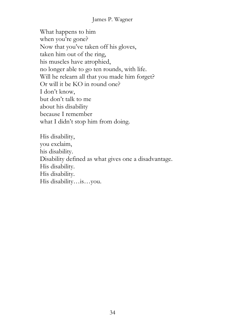#### James P. Wagner

What happens to him when you're gone? Now that you've taken off his gloves, taken him out of the ring, his muscles have atrophied, no longer able to go ten rounds, with life. Will he relearn all that you made him forget? Or will it be KO in round one? I don't know, but don't talk to me about his disability because I remember what I didn't stop him from doing.

His disability, you exclaim, his disability. Disability defined as what gives one a disadvantage. His disability. His disability. His disability…is…you.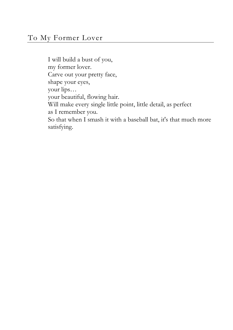I will build a bust of you, my former lover. Carve out your pretty face, shape your eyes, your lips… your beautiful, flowing hair. Will make every single little point, little detail, as perfect as I remember you. So that when I smash it with a baseball bat, it's that much more satisfying.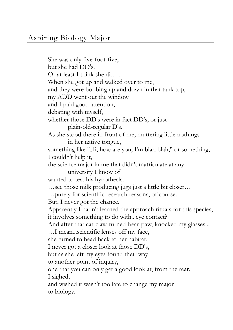She was only five-foot-five, but she had DD's! Or at least I think she did… When she got up and walked over to me, and they were bobbing up and down in that tank top, my ADD went out the window and I paid good attention, debating with myself, whether those DD's were in fact DD's, or just plain-old-regular D's. As she stood there in front of me, muttering little nothings in her native tongue, something like "Hi, how are you, I'm blah blah," or something, I couldn't help it, the science major in me that didn't matriculate at any university I know of wanted to test his hypothesis… …see those milk producing jugs just a little bit closer… …purely for scientific research reasons, of course. But, I never got the chance. Apparently I hadn't learned the approach rituals for this species, it involves something to do with...eye contact? And after that cat-claw-turned-bear-paw, knocked my glasses... …I mean...scientific lenses off my face, she turned to head back to her habitat. I never got a closer look at those DD's, but as she left my eyes found their way, to another point of inquiry, one that you can only get a good look at, from the rear. I sighed, and wished it wasn't too late to change my major to biology.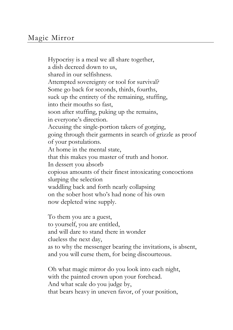Hypocrisy is a meal we all share together, a dish decreed down to us, shared in our selfishness. Attempted sovereignty or tool for survival? Some go back for seconds, thirds, fourths, suck up the entirety of the remaining, stuffing, into their mouths so fast, soon after stuffing, puking up the remains, in everyone's direction. Accusing the single-portion takers of gorging, going through their garments in search of grizzle as proof of your postulations. At home in the mental state, that this makes you master of truth and honor. In dessert you absorb copious amounts of their finest intoxicating concoctions slurping the selection waddling back and forth nearly collapsing on the sober host who's had none of his own now depleted wine supply.

To them you are a guest, to yourself, you are entitled, and will dare to stand there in wonder clueless the next day, as to why the messenger bearing the invitations, is absent, and you will curse them, for being discourteous.

Oh what magic mirror do you look into each night, with the painted crown upon your forehead. And what scale do you judge by, that bears heavy in uneven favor, of your position,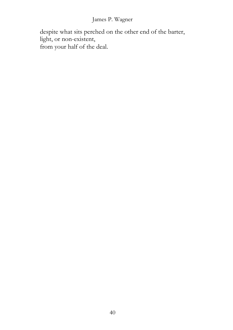#### James P. Wagner

despite what sits perched on the other end of the barter, light, or non-existent, from your half of the deal.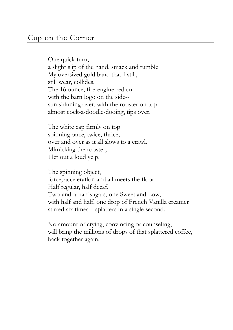One quick turn, a slight slip of the hand, smack and tumble. My oversized gold band that I still, still wear, collides. The 16 ounce, fire-engine-red cup with the barn logo on the side- sun shinning over, with the rooster on top almost cock-a-doodle-dooing, tips over.

The white cap firmly on top spinning once, twice, thrice, over and over as it all slows to a crawl. Mimicking the rooster, I let out a loud yelp.

The spinning object, force, acceleration and all meets the floor. Half regular, half decaf, Two-and-a-half sugars, one Sweet and Low, with half and half, one drop of French Vanilla creamer stirred six times—splatters in a single second.

No amount of crying, convincing or counseling, will bring the millions of drops of that splattered coffee, back together again.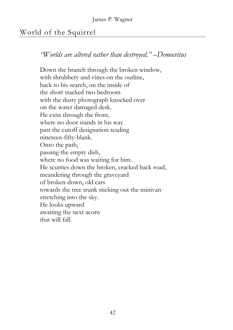### World of the Squirrel

*"Worlds are altered rather than destroyed." –Democritus* 

Down the branch through the broken window, with shrubbery and vines on the outline, back to his search, on the inside of the short stacked two bedroom with the dusty photograph knocked over on the water damaged desk. He exits through the front, where no door stands in his way past the cutoff designation reading nineteen-fifty-blank. Onto the path, passing the empty dish, where no food was waiting for him. He scurries down the broken, cracked back road, meandering through the graveyard of broken-down, old cars towards the tree trunk sticking out the minivan stretching into the sky. He looks upward awaiting the next acorn that will fall.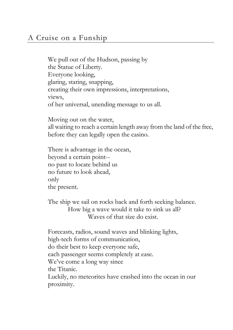### A Cruise on a Funship

We pull out of the Hudson, passing by the Statue of Liberty. Everyone looking, glaring, staring, snapping, creating their own impressions, interpretations, views, of her universal, unending message to us all.

Moving out on the water, all waiting to reach a certain length away from the land of the free, before they can legally open the casino.

There is advantage in the ocean, beyond a certain point- no past to locate behind us no future to look ahead, only the present.

The ship we sail on rocks back and forth seeking balance. How big a wave would it take to sink us all? Waves of that size do exist.

Forecasts, radios, sound waves and blinking lights, high-tech forms of communication, do their best to keep everyone safe, each passenger seems completely at ease. We've come a long way since the Titanic. Luckily, no meteorites have crashed into the ocean in our proximity.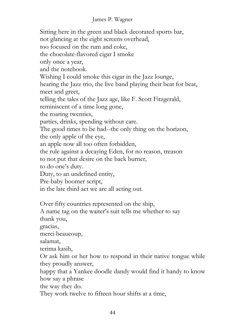#### James P. Wagner

Sitting here in the green and black decorated sports bar, not glancing at the eight screens overhead, too focused on the rum and coke, the chocolate-flavored cigar I smoke only once a year, and the notebook. Wishing I could smoke this cigar in the Jazz lounge, hearing the Jazz trio, the live band playing their beat for beat, meet and greet, telling the tales of the Jazz age, like F. Scott Fitzgerald, reminiscent of a time long gone, the roaring twenties, parties, drinks, spending without care. The good times to be had--the only thing on the horizon, the only apple of the eye, an apple now all too often forbidden, the rule against a decaying Eden, for no reason, treason to not put that desire on the back burner, to do one's duty. Duty, to an undefined entity, Pre-baby boomer script, in the late third act we are all acting out. Over fifty countries represented on the ship, A name tag on the waiter's suit tells me whether to say thank you, gracias, merci beaucoup, salamat, terima kasih, Or ask him or her how to respond in their native tongue while they proudly answer, happy that a Yankee doodle dandy would find it handy to know how say a phrase the way they do. They work twelve to fifteen hour shifts at a time,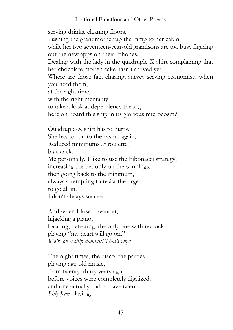Irrational Functions and Other Poems

serving drinks, cleaning floors, Pushing the grandmother up the ramp to her cabin, while her two seventeen-year-old grandsons are too busy figuring out the new apps on their Iphones. Dealing with the lady in the quadruple-X shirt complaining that her chocolate molten cake hasn't arrived yet. Where are those fact-chasing, survey-serving economists when you need them, at the right time, with the right mentality to take a look at dependency theory, here on board this ship in its glorious microcosm?

Quadruple-X shirt has to hurry, She has to run to the casino again, Reduced minimums at roulette, blackjack. Me personally, I like to use the Fibonacci strategy, increasing the bet only on the winnings, then going back to the minimum, always attempting to resist the urge to go all in. I don't always succeed.

And when I lose, I wander, hijacking a piano, locating, detecting, the only one with no lock, playing "my heart will go on." *We're on a ship dammit! That's why!* 

The night times, the disco, the parties playing age-old music, from twenty, thirty years ago, before voices were completely digitized, and one actually had to have talent. *Billy Jean* playing,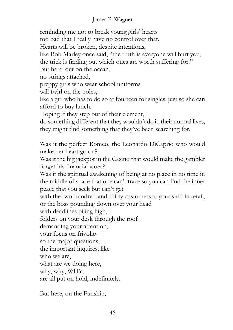#### James P. Wagner

reminding me not to break young girls' hearts too bad that I really have no control over that. Hearts will be broken, despite intentions, like Bob Marley once said, "the truth is everyone will hurt you, the trick is finding out which ones are worth suffering for." But here, out on the ocean, no strings attached, preppy girls who wear school uniforms will twirl on the poles, like a girl who has to do so at fourteen for singles, just so she can afford to buy lunch. Hoping if they step out of their element, do something different that they wouldn't do in their normal lives, they might find something that they've been searching for. Was it the perfect Romeo, the Leonardo DiCaprio who would make her heart go on? Was it the big jackpot in the Casino that would make the gambler forget his financial woes? Was it the spiritual awakening of being at no place in no time in the middle of space that one can't trace so you can find the inner peace that you seek but can't get with the two-hundred-and-thirty customers at your shift in retail, or the boss pounding down over your head with deadlines piling high, folders on your desk through the roof demanding your attention, your focus on frivolity so the major questions, the important inquires, like who we are, what are we doing here, why, why, WHY, are all put on hold, indefinitely.

But here, on the Funship,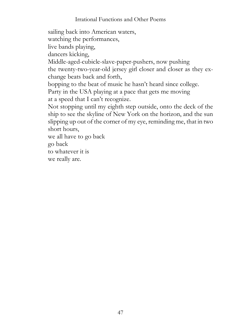#### Irrational Functions and Other Poems

sailing back into American waters,

watching the performances,

live bands playing,

dancers kicking,

Middle-aged-cubicle-slave-paper-pushers, now pushing

the twenty-two-year-old jersey girl closer and closer as they exchange beats back and forth,

bopping to the beat of music he hasn't heard since college.

Party in the USA playing at a pace that gets me moving at a speed that I can't recognize.

Not stopping until my eighth step outside, onto the deck of the ship to see the skyline of New York on the horizon, and the sun slipping up out of the corner of my eye, reminding me, that in two short hours,

we all have to go back

go back

to whatever it is

we really are.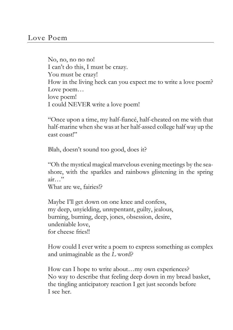No, no, no no no! I can't do this, I must be crazy. You must be crazy! How in the living heck can you expect me to write a love poem? Love poem… love poem! I could NEVER write a love poem!

"Once upon a time, my half-fiancé, half-cheated on me with that half-marine when she was at her half-assed college half way up the east coast!"

Blah, doesn't sound too good, does it?

"Oh the mystical magical marvelous evening meetings by the seashore, with the sparkles and rainbows glistening in the spring air…"

What are we, fairies!?

Maybe I'll get down on one knee and confess, my deep, unyielding, unrepentant, guilty, jealous, burning, burning, deep, jones, obsession, desire, undeniable love, for cheese fries!!

How could I ever write a poem to express something as complex and unimaginable as the *L* word?

How can I hope to write about…my own experiences? No way to describe that feeling deep down in my bread basket, the tingling anticipatory reaction I get just seconds before I see her.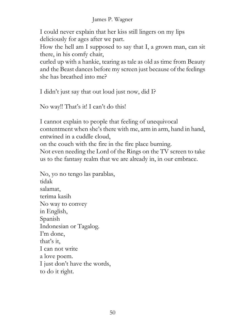#### James P. Wagner

I could never explain that her kiss still lingers on my lips deliciously for ages after we part.

How the hell am I supposed to say that I, a grown man, can sit there, in his comfy chair,

curled up with a hankie, tearing as tale as old as time from Beauty and the Beast dances before my screen just because of the feelings she has breathed into me?

I didn't just say that out loud just now, did I?

No way!! That's it! I can't do this!

I cannot explain to people that feeling of unequivocal contentment when she's there with me, arm in arm, hand in hand, entwined in a cuddle cloud, on the couch with the fire in the fire place burning. Not even needing the Lord of the Rings on the TV screen to take us to the fantasy realm that we are already in, in our embrace.

No, yo no tengo las parablas, tidak salamat, terima kasih No way to convey in English, Spanish Indonesian or Tagalog. I'm done, that's it, I can not write a love poem. I just don't have the words, to do it right.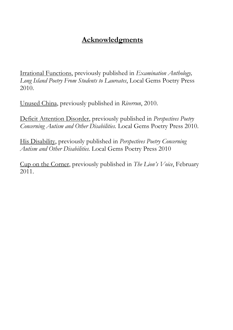### **Acknowledgments**

Irrational Functions, previously published in *Examination Anthology, Long Island Poetry From Students to Laureates*, Local Gems Poetry Press 2010.

Unused China, previously published in *Riverrun*, 2010.

Deficit Attention Disorder, previously published in *Perspectives Poetry Concerning Autism and Other Disabilities.* Local Gems Poetry Press 2010.

His Disability, previously published in *Perspectives Poetry Concerning Autism and Other Disabilities.* Local Gems Poetry Press 2010

Cup on the Corner, previously published in *The Lion's Voice*, February 2011.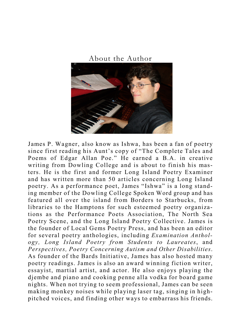About the Author



James P. Wagner, also know as Ishwa, has been a fan of poetry since first reading his Aunt's copy of "The Complete Tales and Poems of Edgar Allan Poe." He earned a B.A. in creative writing from Dowling College and is about to finish his masters. He is the first and former Long Island Poetry Examiner and has written more than 50 articles concerning Long Island poetry. As a performance poet, James "Ishwa" is a long standing member of the Dowling College Spoken Word group and has featured all over the island from Borders to Starbucks, from libraries to the Hamptons for such esteemed poetry organizations as the Performance Poets Association, The North Sea Poetry Scene, and the Long Island Poetry Collective. James is the founder of Local Gems Poetry Press, and has been an editor for several poetry anthologies, including *Examination Anthology, Long Island Poetry from Students to Laureates*, and *Perspectives, Poetry Concerning Autism and Other Disabilities*. As founder of the Bards Initiative, James has also hosted many poetry readings. James is also an award winning fiction writer, essayist, martial artist, and actor. He also enjoys playing the djembe and piano and cooking penne alla vodka for board game nights. When not trying to seem professional, James can be seen making monkey noises while playing laser tag, singing in highpitched voices, and finding other ways to embarrass his friends.